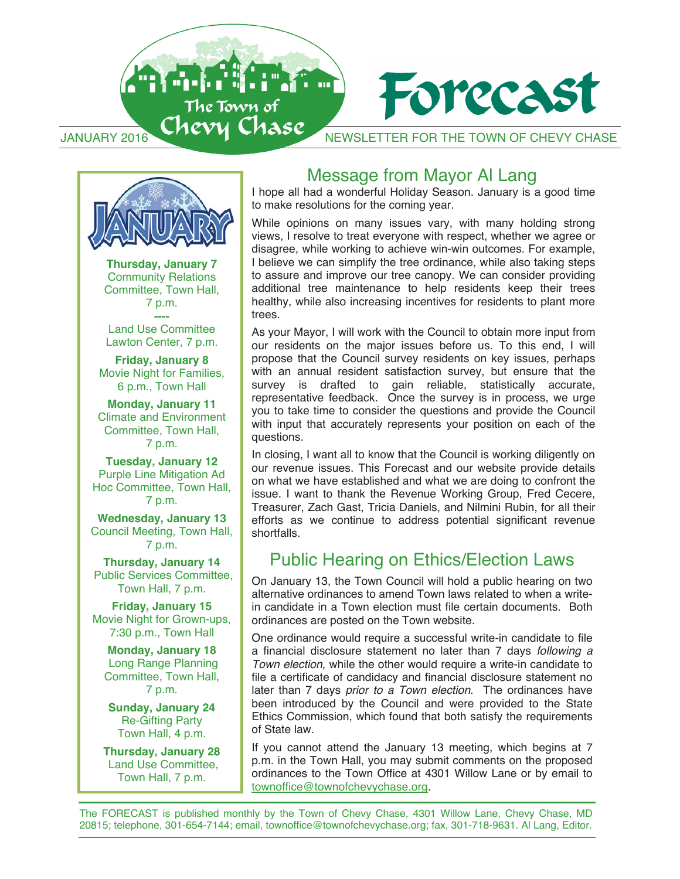



**Thursday, January 7 Thursday, January 7 Thursday, January 7** Community Relations Community Relations Community Relations Committee, Town Hall, Committee, Town Hall, Committee, Town Hall, 7 p.m. 7 p.m. 7 p.m. **----** 

Land Use Committee Lawton Center, 7 p.m. Lawton Center, 7 p.m. Lawton Center, 7 p.m. **----**  Land Use Committe **----**  Land Use Committee

**Friday, January 8**  Movie Night for Families, **Friday, January 8 Friday, January 8**  6 p.m., Town Hall Movie Night for Families, Movie Night for Families,  $\sigma$  p.m., Town Hall

**Monday, January 11 Climate and Environment** Committee, Town Hall,  $7 p.m.$ 

**Tuesday, January 12 Purple Line Mitigation Ad** Hoc Committee, Town Hall,  $\blacksquare$  and  $\blacksquare$  are  $\blacksquare$  and  $\blacksquare$  are  $\blacksquare$  and  $\blacksquare$  are  $\blacksquare$  and  $\blacksquare$  are  $\blacksquare$  and  $\blacksquare$  and  $\blacksquare$  and  $\blacksquare$  are  $\blacksquare$  and  $\blacksquare$  and  $\blacksquare$  and  $\blacksquare$  and  $\blacksquare$  and  $\blacksquare$  and  $\blacksquare$  and  $\blacksquare$  and

Wednesday, January 13 **Council Meeting, Town Hall,** 7 p.m.  $\Gamma$  Meeting, Town Hall, Town Hall, Town Hall, Town Hall, Town Hall, Town Hall, Town Hall, Town Hall, Town Hall, Town Hall, Town Hall, Town Hall, Town Hall, Town Hall, Town Hall, Town Hall, Town Hall, Town Hall, Town Hall  $\mathcal{L}$  p.m.

Thursday, January 14 Public Services Committee, **Thursday, Schwarter 1988**<br> **Town Hall, 7 p.m.**  $\Gamma$   $\equiv$   $\Gamma$   $\sim$   $\Gamma$   $\sim$   $\Gamma$ 

**Friday, January 15**  Movie Night for Grown-ups, **Francis Francis Francis Triday, January 18** 

**Monday, January 18** monday, January 19 **Committee, Town Hall,**  $Z_{\rm p.m.}$ 

**Sunday, January 24** Re-Gifting Party Town Hall, 4 p.m. **Sunday, January 24 Sunday, January 24** 

Thursday, January 28 Land Use Committee, **Town Hall, 7 p.m.** 

Land Use Committee,

Land Use Committee,

## Message from Mayor Al Lang Message from Mayor Al Lang Message from Mayor Al Lang

I hope all had a wonderful Holiday Season. January is a good time I hope all had a wonderful Holiday Season. January is a good time I hope all had a wonderful Holiday Season. January is a good time to make resolutions for the coming year. to make resolutions for the coming year. to make resolutions for the coming year.

While opinions on many issues vary, with many holding strong While opinions on many issues vary, with many holding strong While opinions on many issues vary, with many holding strong views, I resolve to treat everyone with respect, whether we agree or views, I resolve to treat everyone with respect, whether we agree or views, I resolve to treat everyone with respect, whether we agree or disagree, while working to achieve win-win outcomes. For example, disagree, while working to achieve win-win outcomes. For example, disagree, while working to achieve win-win outcomes. For example, I believe we can simplify the tree ordinance, while also taking steps I believe we can simplify the tree ordinance, while also taking steps I believe we can simplify the tree ordinance, while also taking steps to assure and improve our tree canopy. We can consider providing to assure and improve our tree canopy. We can consider providing to assure and improve our tree canopy. We can consider providing additional tree maintenance to help residents keep their trees additional tree maintenance to help residents keep their trees additional tree maintenance to help residents keep their trees healthy, while also increasing incentives for residents to plant more healthy, while also increasing incentives for residents to plant more healthy, while also increasing incentives for residents to plant more trees. trees. trees.

As your Mayor, I will work with the Council to obtain more input from As your Mayor, I will work with the Council to obtain more input from As your Mayor, I will work with the Council to obtain more input from our residents on the major issues before us. To this end, I will our residents on the major issues before us. To this end, I will<br>propose that the Council survey residents on key issues, perhaps with an annual resident satisfaction survey, but ensure that the propose that the Council survey residents on key issues, perhaps propose that the Council survey residents on key issues, perhaps with an annual resident satisfaction survey, but ensure that the survey is drafted to gain reliable, statistically accurate, examples on the survey is drafted to gain reliable, statistically accurate, representative feedback. Once the survey is in process, we urge representative feedback. Once the survey is in process, we urge you to take time to consider the questions and provide the Council with input that accurately represents your position on each of the questions. The accurately represents your position on each of the second on each of the second on each of the second on each of the second on each of the second on each of the second on each of the second on each of the se

In closing, I want all to know that the Council is working diligently on our revenue issues. This Forecast and our website provide details on what we have established and what we are doing to confront the issue. I want to thank the Revenue Working Group, Fred Cecere, Treasurer, Zach Gast, Tricia Daniels, and Nilmini Rubin, for all their efforts as we continue to address potential significant revenue shortfalls. efforts as we continue to address potential significant revenue to address potential significant revenue to a significant revenue of  $\alpha$  $\frac{d}{dt}$ s as we continue to address potential significant revenue to address potential significant revenue  $\frac{d}{dt}$ 

### Public Hearing on Ethics/Election Laws

On January 13, the Town Council will hold a public hearing on two alternative ordinances to amend Town laws related to when a write-In Candidate in a Town election must file certain documents. Both ordinances are posted on the Town website.

One ordinance would require a successful write-in candidate to file one ordinance would require a successial write-in candidate to the a financial disclosure statement no later than 7 days *following a* Town election, while the other would require a write-in candidate to file a certificate of candidacy and financial disclosure statement no a financial disclosure statement no later than 7 days *following a*  a financial disclosure statement no later than 7 days *following a*  later than 7 days *prior to a Town election*. The ordinances have been introduced by the Council and were provided to the State Ethics Commission, which found that both satisfy the requirements of State law.  $\sigma$  introduced by the Council and were provided to the State state of  $\sigma$  $\mathbf{D}$  between introduced by the Council and were provided to the State state of  $\mathbf{D}$ 

If you cannot attend the January 13 meeting, which begins at 7 p.m. in the Town Hall, you may submit comments on the proposed ordinances to the Town Office at 4301 Willow Lane or by email to townoffice@townofchevychase.org.  $\frac{1}{2}$  $\frac{1}{2}$ .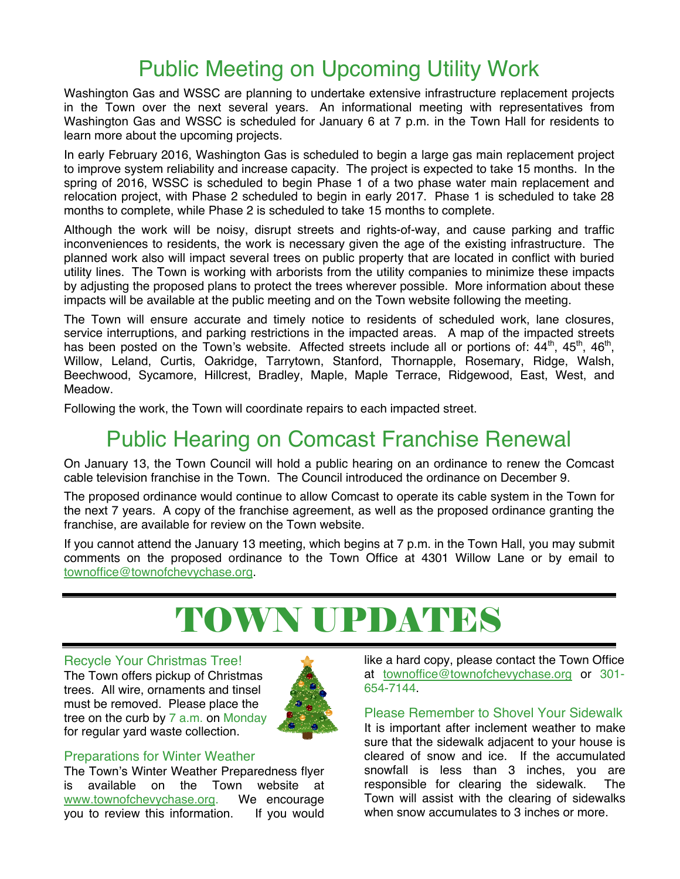## Public Meeting on Upcoming Utility Work

Washington Gas and WSSC are planning to undertake extensive infrastructure replacement projects in the Town over the next several years. An informational meeting with representatives from Washington Gas and WSSC is scheduled for January 6 at 7 p.m. in the Town Hall for residents to learn more about the upcoming projects.

In early February 2016, Washington Gas is scheduled to begin a large gas main replacement project to improve system reliability and increase capacity. The project is expected to take 15 months. In the spring of 2016, WSSC is scheduled to begin Phase 1 of a two phase water main replacement and relocation project, with Phase 2 scheduled to begin in early 2017. Phase 1 is scheduled to take 28 months to complete, while Phase 2 is scheduled to take 15 months to complete.

Although the work will be noisy, disrupt streets and rights-of-way, and cause parking and traffic inconveniences to residents, the work is necessary given the age of the existing infrastructure. The planned work also will impact several trees on public property that are located in conflict with buried utility lines. The Town is working with arborists from the utility companies to minimize these impacts by adjusting the proposed plans to protect the trees wherever possible. More information about these impacts will be available at the public meeting and on the Town website following the meeting.

The Town will ensure accurate and timely notice to residents of scheduled work, lane closures, service interruptions, and parking restrictions in the impacted areas. A map of the impacted streets has been posted on the Town's website. Affected streets include all or portions of:  $44<sup>th</sup>$ ,  $45<sup>th</sup>$ ,  $46<sup>th</sup>$ , Willow, Leland, Curtis, Oakridge, Tarrytown, Stanford, Thornapple, Rosemary, Ridge, Walsh, Beechwood, Sycamore, Hillcrest, Bradley, Maple, Maple Terrace, Ridgewood, East, West, and Meadow.

Following the work, the Town will coordinate repairs to each impacted street.

### Public Hearing on Comcast Franchise Renewal

On January 13, the Town Council will hold a public hearing on an ordinance to renew the Comcast cable television franchise in the Town. The Council introduced the ordinance on December 9.

The proposed ordinance would continue to allow Comcast to operate its cable system in the Town for the next 7 years. A copy of the franchise agreement, as well as the proposed ordinance granting the franchise, are available for review on the Town website.

If you cannot attend the January 13 meeting, which begins at 7 p.m. in the Town Hall, you may submit comments on the proposed ordinance to the Town Office at 4301 Willow Lane or by email to townoffice@townofchevychase.org.

# TOWN UPDATES

#### Recycle Your Christmas Tree!

The Town offers pickup of Christmas trees. All wire, ornaments and tinsel must be removed. Please place the tree on the curb by 7 a.m. on Monday for regular yard waste collection.



#### Preparations for Winter Weather

The Town's Winter Weather Preparedness flyer is available on the Town website at www.townofchevychase.org. We encourage you to review this information. If you would like a hard copy, please contact the Town Office at townoffice@townofchevychase.org or 301-654-7144.

Please Remember to Shovel Your Sidewalk It is important after inclement weather to make sure that the sidewalk adjacent to your house is cleared of snow and ice. If the accumulated snowfall is less than 3 inches, you are responsible for clearing the sidewalk. Town will assist with the clearing of sidewalks when snow accumulates to 3 inches or more.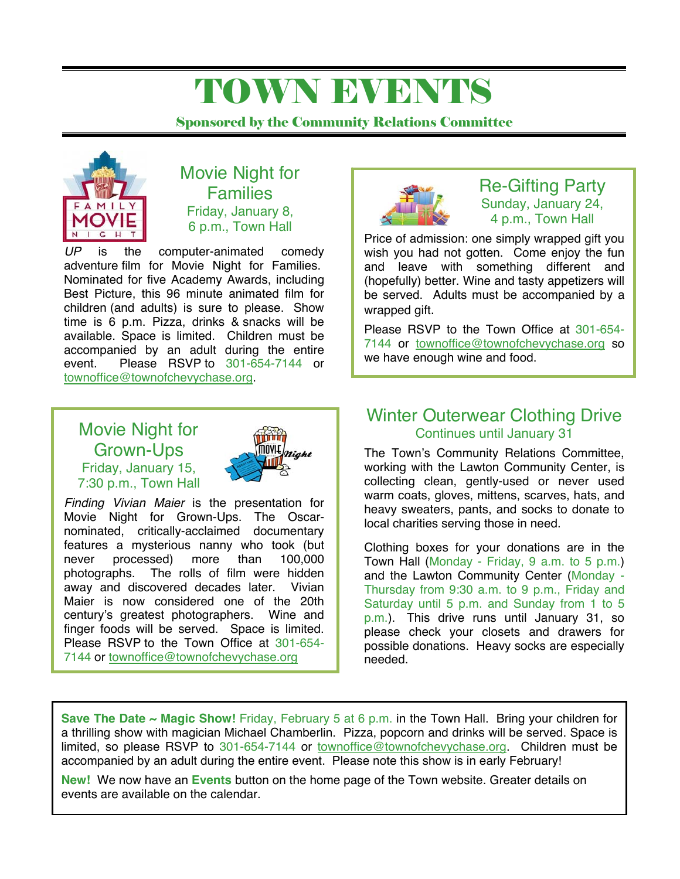## TOWN EVENTS

Sponsored by the Community Relations Committee



#### Movie Night for Families Friday, January 8, 6 p.m., Town Hall

*UP* is the computer-animated comedy adventure film for Movie Night for Families. Nominated for five Academy Awards, including Best Picture, this 96 minute animated film for children (and adults) is sure to please. Show time is 6 p.m. Pizza, drinks & snacks will be available. Space is limited. Children must be accompanied by an adult during the entire event. Please RSVP to 301-654-7144 or townoffice@townofchevychase.org.

#### Movie Night for Grown-Ups Friday, January 15, 7:30 p.m., Town Hall



*Finding Vivian Maier* is the presentation for Movie Night for Grown-Ups. The Oscarnominated, critically-acclaimed documentary features a mysterious nanny who took (but never processed) more than 100,000<br>photographs. The rolls of film were hidden The rolls of film were hidden away and discovered decades later. Vivian Maier is now considered one of the 20th century's greatest photographers. Wine and finger foods will be served. Space is limited. Please RSVP to the Town Office at 301-654- 7144 or townoffice@townofchevychase.org



#### Re-Gifting Party Sunday, January 24, 4 p.m., Town Hall

Price of admission: one simply wrapped gift you wish you had not gotten. Come enjoy the fun and leave with something different and (hopefully) better. Wine and tasty appetizers will be served. Adults must be accompanied by a wrapped gift.

Please RSVP to the Town Office at 301-654- 7144 or townoffice@townofchevychase.org so we have enough wine and food.

#### Winter Outerwear Clothing Drive Continues until January 31

The Town's Community Relations Committee, working with the Lawton Community Center, is collecting clean, gently-used or never used warm coats, gloves, mittens, scarves, hats, and heavy sweaters, pants, and socks to donate to local charities serving those in need.

Clothing boxes for your donations are in the Town Hall (Monday - Friday, 9 a.m. to 5 p.m.) and the Lawton Community Center (Monday - Thursday from 9:30 a.m. to 9 p.m., Friday and Saturday until 5 p.m. and Sunday from 1 to 5 p.m.). This drive runs until January 31, so please check your closets and drawers for possible donations. Heavy socks are especially needed.

**Save The Date ~ Magic Show!** Friday, February 5 at 6 p.m. in the Town Hall. Bring your children for a thrilling show with magician Michael Chamberlin. Pizza, popcorn and drinks will be served. Space is limited, so please RSVP to 301-654-7144 or townoffice@townofchevychase.org. Children must be accompanied by an adult during the entire event. Please note this show is in early February!

**New!** We now have an **Events** button on the home page of the Town website. Greater details on events are available on the calendar.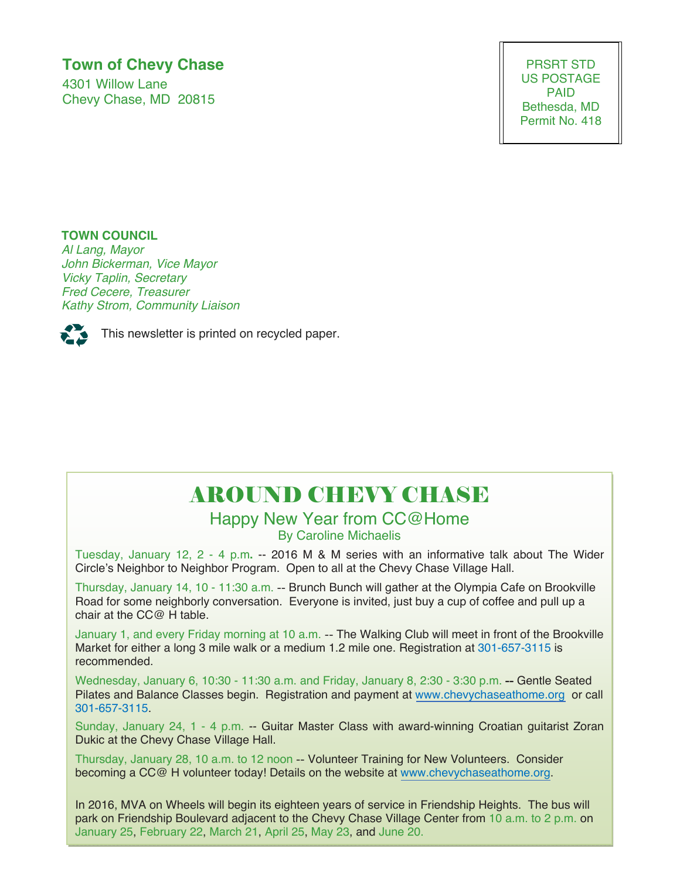#### **Town of Chevy Chase**

4301 Willow Lane Chevy Chase, MD 20815

PRSRT STD US POSTAGE PAID Bethesda, MD Permit No. 418

#### **TOWN COUNCIL**

*Al Lang, Mayor John Bickerman, Vice Mayor Vicky Taplin, Secretary Fred Cecere, Treasurer Kathy Strom, Community Liaison* 



This newsletter is printed on recycled paper.

## **AROUND CHEWY CHASE**

Happy New Year from CC@Home By Caroline Michaelis

Tuesday, January 12, 2 - 4 p.m**.** -- 2016 M & M series with an informative talk about The Wider Circle's Neighbor to Neighbor Program. Open to all at the Chevy Chase Village Hall.

Thursday, January 14, 10 - 11:30 a.m. -- Brunch Bunch will gather at the Olympia Cafe on Brookville Road for some neighborly conversation. Everyone is invited, just buy a cup of coffee and pull up a chair at the CC@ H table.

January 1, and every Friday morning at 10 a.m. -- The Walking Club will meet in front of the Brookville Market for either a long 3 mile walk or a medium 1.2 mile one. Registration at 301-657-3115 is recommended.

Wednesday, January 6, 10:30 - 11:30 a.m. and Friday, January 8, 2:30 - 3:30 p.m. **--** Gentle Seated Pilates and Balance Classes begin. Registration and payment at www.chevychaseathome.org or call 301-657-3115.

Sunday, January 24, 1 - 4 p.m. -- Guitar Master Class with award-winning Croatian guitarist Zoran Dukic at the Chevy Chase Village Hall.

Thursday, January 28, 10 a.m. to 12 noon -- Volunteer Training for New Volunteers. Consider becoming a CC@ H volunteer today! Details on the website at www.chevychaseathome.org.

In 2016, MVA on Wheels will begin its eighteen years of service in Friendship Heights. The bus will park on Friendship Boulevard adjacent to the Chevy Chase Village Center from 10 a.m. to 2 p.m. on January 25, February 22, March 21, April 25, May 23, and June 20.